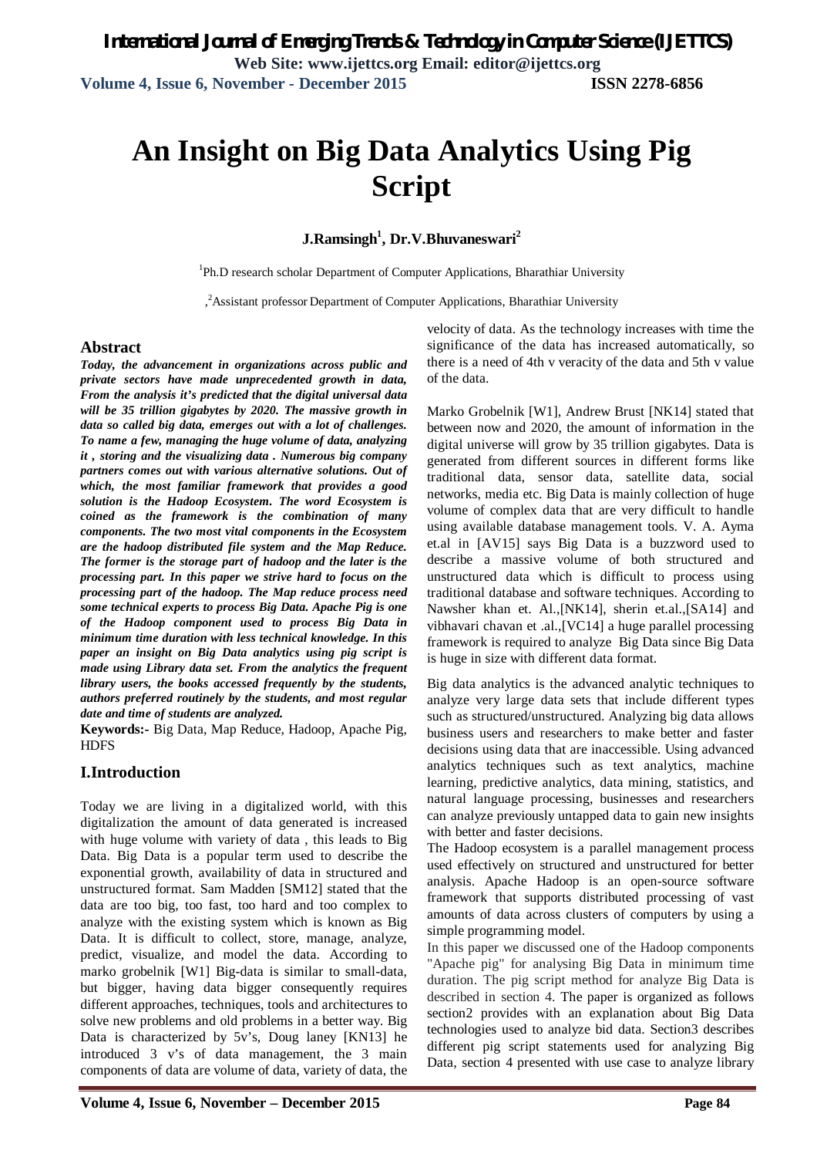# **An Insight on Big Data Analytics Using Pig Script**

**J.Ramsingh<sup>1</sup> , Dr.V.Bhuvaneswari<sup>2</sup>**

<sup>1</sup>Ph.D research scholar Department of Computer Applications, Bharathiar University

, <sup>2</sup>Assistant professor Department of Computer Applications, Bharathiar University

#### **Abstract**

*Today, the advancement in organizations across public and private sectors have made unprecedented growth in data, From the analysis it's predicted that the digital universal data will be 35 trillion gigabytes by 2020. The massive growth in data so called big data, emerges out with a lot of challenges. To name a few, managing the huge volume of data, analyzing it , storing and the visualizing data . Numerous big company partners comes out with various alternative solutions. Out of which, the most familiar framework that provides a good solution is the Hadoop Ecosystem. The word Ecosystem is coined as the framework is the combination of many components. The two most vital components in the Ecosystem are the hadoop distributed file system and the Map Reduce. The former is the storage part of hadoop and the later is the processing part. In this paper we strive hard to focus on the processing part of the hadoop. The Map reduce process need some technical experts to process Big Data. Apache Pig is one of the Hadoop component used to process Big Data in minimum time duration with less technical knowledge. In this paper an insight on Big Data analytics using pig script is made using Library data set. From the analytics the frequent library users, the books accessed frequently by the students, authors preferred routinely by the students, and most regular date and time of students are analyzed.* 

**Keywords:-** Big Data, Map Reduce, Hadoop, Apache Pig, **HDFS** 

### **I.Introduction**

Today we are living in a digitalized world, with this digitalization the amount of data generated is increased with huge volume with variety of data , this leads to Big Data. Big Data is a popular term used to describe the exponential growth, availability of data in structured and unstructured format. Sam Madden [SM12] stated that the data are too big, too fast, too hard and too complex to analyze with the existing system which is known as Big Data. It is difficult to collect, store, manage, analyze, predict, visualize, and model the data. According to marko grobelnik [W1] Big-data is similar to small-data, but bigger, having data bigger consequently requires different approaches, techniques, tools and architectures to solve new problems and old problems in a better way. Big Data is characterized by 5v's, Doug laney [KN13] he introduced 3 v's of data management, the 3 main components of data are volume of data, variety of data, the velocity of data. As the technology increases with time the significance of the data has increased automatically, so there is a need of 4th v veracity of the data and 5th v value of the data.

Marko Grobelnik [W1], Andrew Brust [NK14] stated that between now and 2020, the amount of information in the digital universe will grow by 35 trillion gigabytes. Data is generated from different sources in different forms like traditional data, sensor data, satellite data, social networks, media etc. Big Data is mainly collection of huge volume of complex data that are very difficult to handle using available database management tools. V. A. Ayma et.al in [AV15] says Big Data is a buzzword used to describe a massive volume of both structured and unstructured data which is difficult to process using traditional database and software techniques. According to Nawsher khan et. Al.,[NK14], sherin et.al.,[SA14] and vibhavari chavan et .al.,[VC14] a huge parallel processing framework is required to analyze Big Data since Big Data is huge in size with different data format.

Big data analytics is the advanced analytic techniques to analyze very large data sets that include different types such as structured/unstructured. Analyzing big data allows business users and researchers to make better and faster decisions using data that are inaccessible. Using advanced analytics techniques such as text analytics, machine learning, predictive analytics, data mining, statistics, and natural language processing, businesses and researchers can analyze previously untapped data to gain new insights with better and faster decisions.

The Hadoop ecosystem is a parallel management process used effectively on structured and unstructured for better analysis. Apache Hadoop is an open-source software framework that supports distributed processing of vast amounts of data across clusters of computers by using a simple programming model.

In this paper we discussed one of the Hadoop components "Apache pig" for analysing Big Data in minimum time duration. The pig script method for analyze Big Data is described in section 4. The paper is organized as follows section2 provides with an explanation about Big Data technologies used to analyze bid data. Section3 describes different pig script statements used for analyzing Big Data, section 4 presented with use case to analyze library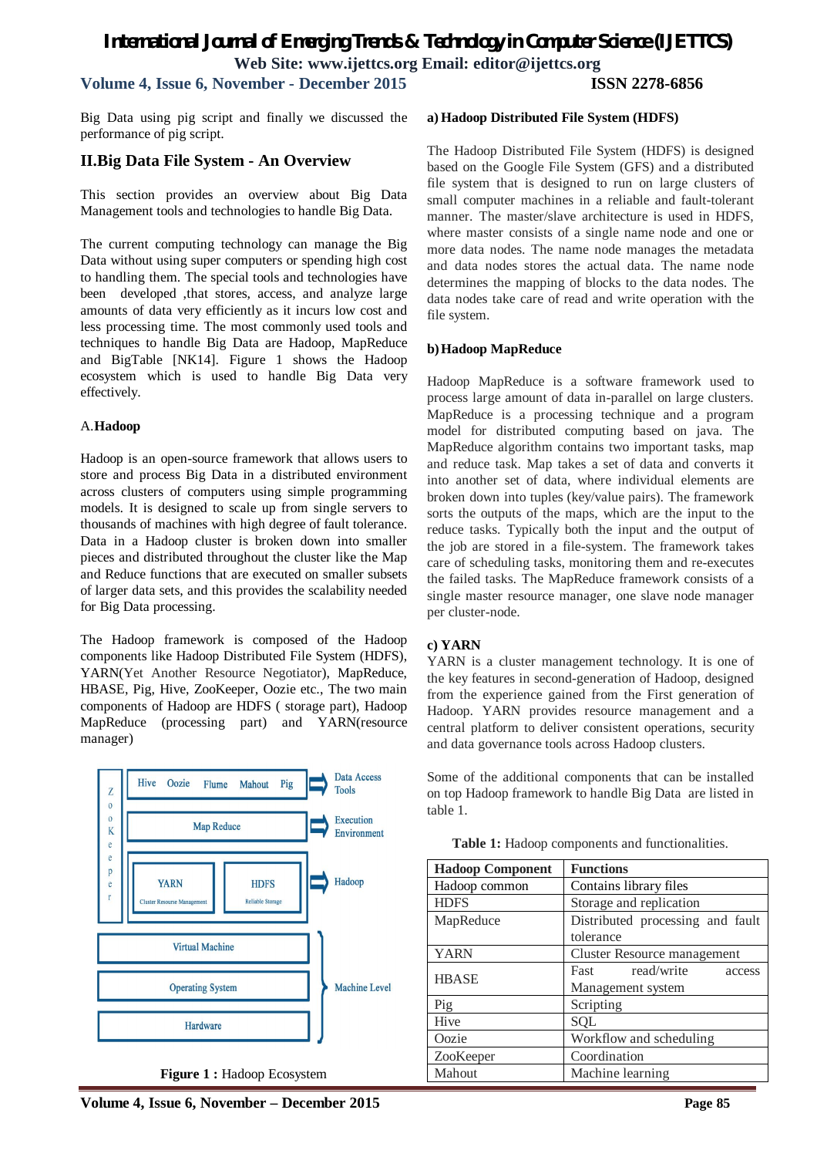# *International Journal of Emerging Trends & Technology in Computer Science (IJETTCS)* **Web Site: www.ijettcs.org Email: editor@ijettcs.org Volume 4, Issue 6, November - December 2015 ISSN 2278-6856**

Big Data using pig script and finally we discussed the performance of pig script.

#### **II.Big Data File System - An Overview**

This section provides an overview about Big Data Management tools and technologies to handle Big Data.

The current computing technology can manage the Big Data without using super computers or spending high cost to handling them. The special tools and technologies have been developed ,that stores, access, and analyze large amounts of data very efficiently as it incurs low cost and less processing time. The most commonly used tools and techniques to handle Big Data are Hadoop, MapReduce and BigTable [NK14]. Figure 1 shows the Hadoop ecosystem which is used to handle Big Data very effectively.

#### A.**Hadoop**

Hadoop is an open-source framework that allows users to store and process Big Data in a distributed environment across clusters of computers using simple programming models. It is designed to scale up from single servers to thousands of machines with high degree of fault tolerance. Data in a Hadoop cluster is broken down into smaller pieces and distributed throughout the cluster like the Map and Reduce functions that are executed on smaller subsets of larger data sets, and this provides the scalability needed for Big Data processing.

The Hadoop framework is composed of the Hadoop components like Hadoop Distributed File System (HDFS), YARN(Yet Another Resource Negotiator), MapReduce, HBASE, Pig, Hive, ZooKeeper, Oozie etc., The two main components of Hadoop are HDFS ( storage part), Hadoop MapReduce (processing part) and YARN(resource manager)



**Figure 1 :** Hadoop Ecosystem

#### **a) Hadoop Distributed File System (HDFS)**

The Hadoop Distributed File System (HDFS) is designed based on the Google File System (GFS) and a distributed file system that is designed to run on large clusters of small computer machines in a reliable and fault-tolerant manner. The master/slave architecture is used in HDFS, where master consists of a single name node and one or more data nodes. The name node manages the metadata and data nodes stores the actual data. The name node determines the mapping of blocks to the data nodes. The data nodes take care of read and write operation with the file system.

#### **b)Hadoop MapReduce**

Hadoop MapReduce is a software framework used to process large amount of data in-parallel on large clusters. MapReduce is a processing technique and a program model for distributed computing based on java. The MapReduce algorithm contains two important tasks, map and reduce task. Map takes a set of data and converts it into another set of data, where individual elements are broken down into tuples (key/value pairs). The framework sorts the outputs of the maps, which are the input to the reduce tasks. Typically both the input and the output of the job are stored in a file-system. The framework takes care of scheduling tasks, monitoring them and re-executes the failed tasks. The MapReduce framework consists of a single master resource manager, one slave node manager per cluster-node.

#### **c) YARN**

YARN is a cluster management technology. It is one of the key features in second-generation of Hadoop, designed from the experience gained from the First generation of Hadoop. YARN provides resource management and a central platform to deliver consistent operations, security and data governance tools across Hadoop clusters.

Some of the additional components that can be installed on top Hadoop framework to handle Big Data are listed in table 1.

**Table 1:** Hadoop components and functionalities.

| <b>Hadoop Component</b> | <b>Functions</b>                 |
|-------------------------|----------------------------------|
| Hadoop common           | Contains library files           |
| <b>HDFS</b>             | Storage and replication          |
| MapReduce               | Distributed processing and fault |
|                         | tolerance                        |
| <b>YARN</b>             | Cluster Resource management      |
| <b>HBASE</b>            | read/write<br>Fast<br>access     |
|                         | Management system                |
| Pig                     | Scripting                        |
| Hive                    | <b>SQL</b>                       |
| Oozie                   | Workflow and scheduling          |
| ZooKeeper               | Coordination                     |
| Mahout                  | Machine learning                 |

**Volume 4, Issue 6, November – December 2015 Page 85**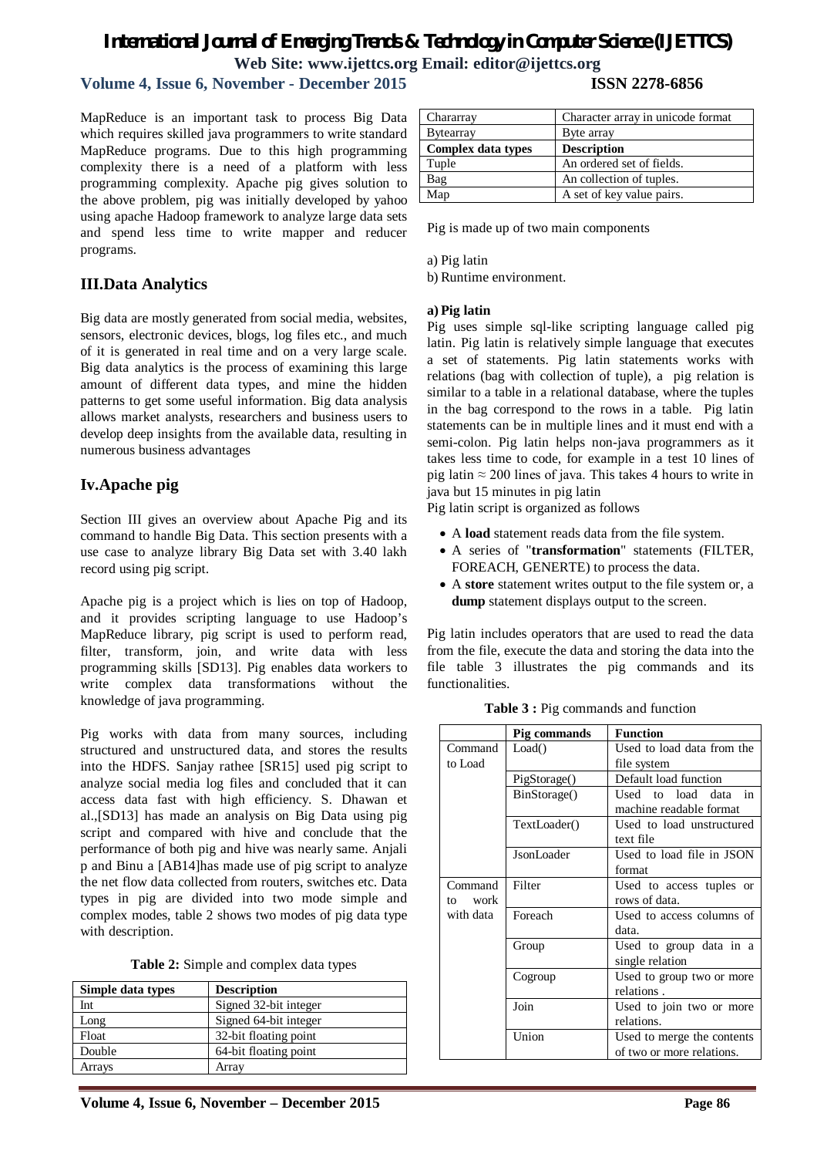# **Volume 4, Issue 6, November - December 2015 ISSN 2278-6856**

MapReduce is an important task to process Big Data Chararray which requires skilled java programmers to write standard MapReduce programs. Due to this high programming complexity there is a need of a platform with lea programming complexity. Apache pig gives solution the above problem, pig was initially developed by yaho using apache Hadoop framework to analyze large data se and spend less time to write mapper and reducer programs.

### **III.Data Analytics**

Big data are mostly generated from social media, websites, sensors, electronic devices, blogs, log files etc., and much of it is generated in real time and on a very large scale. Big data analytics is the process of examining this large amount of different data types, and mine the hidden patterns to get some useful information. Big data analysis allows market analysts, researchers and business users to develop deep insights from the available data, resulting in numerous business advantages

# **Iv.Apache pig**

Section III gives an overview about Apache Pig and its command to handle Big Data. This section presents with a use case to analyze library Big Data set with 3.40 lakh record using pig script.

Apache pig is a project which is lies on top of Hadoop, and it provides scripting language to use Hadoop's MapReduce library, pig script is used to perform read, filter, transform, join, and write data with less programming skills [SD13]. Pig enables data workers to write complex data transformations without the knowledge of java programming.

Pig works with data from many sources, including structured and unstructured data, and stores the results into the HDFS. Sanjay rathee [SR15] used pig script to analyze social media log files and concluded that it can access data fast with high efficiency. S. Dhawan et al.,[SD13] has made an analysis on Big Data using pig script and compared with hive and conclude that the performance of both pig and hive was nearly same. Anjali p and Binu a [AB14]has made use of pig script to analyze the net flow data collected from routers, switches etc. Data types in pig are divided into two mode simple and complex modes, table 2 shows two modes of pig data type with description.

|  |  |  | Table 2: Simple and complex data types |  |  |
|--|--|--|----------------------------------------|--|--|
|--|--|--|----------------------------------------|--|--|

| Simple data types | <b>Description</b>    |
|-------------------|-----------------------|
| Int               | Signed 32-bit integer |
| Long              | Signed 64-bit integer |
| Float             | 32-bit floating point |
| Double            | 64-bit floating point |
| Arrays            | Arrav                 |

| ta             | Chararray                 | Character array in unicode format |
|----------------|---------------------------|-----------------------------------|
| rd             | <b>B</b> ytearray         | Byte array                        |
| ig             | <b>Complex data types</b> | <b>Description</b>                |
| SS             | Tuple                     | An ordered set of fields.         |
| to             | Bag                       | An collection of tuples.          |
| $\overline{O}$ | Map                       | A set of key value pairs.         |
| ٤s             |                           |                                   |

Pig is made up of two main components

a) Pig latin

b) Runtime environment.

#### **a) Pig latin**

Pig uses simple sql-like scripting language called pig latin. Pig latin is relatively simple language that executes a set of statements. Pig latin statements works with relations (bag with collection of tuple), a pig relation is similar to a table in a relational database, where the tuples in the bag correspond to the rows in a table. Pig latin statements can be in multiple lines and it must end with a semi-colon. Pig latin helps non-java programmers as it takes less time to code, for example in a test 10 lines of pig latin  $\approx 200$  lines of java. This takes 4 hours to write in java but 15 minutes in pig latin

Pig latin script is organized as follows

- A **load** statement reads data from the file system.
- A series of "**transformation**" statements (FILTER, FOREACH, GENERTE) to process the data.
- A **store** statement writes output to the file system or, a **dump** statement displays output to the screen.

Pig latin includes operators that are used to read the data from the file, execute the data and storing the data into the file table 3 illustrates the pig commands and its functionalities.

|            | Pig commands | Function                   |
|------------|--------------|----------------------------|
| Command    | Load()       | Used to load data from the |
| to Load    |              | file system                |
|            | PigStorage() | Default load function      |
|            | BinStorage() | Used to load<br>data<br>in |
|            |              | machine readable format    |
|            | TextLoader() | Used to load unstructured  |
|            |              | text file                  |
|            | JsonLoader   | Used to load file in JSON  |
|            |              | format                     |
| Command    | Filter       | Used to access tuples or   |
| work<br>to |              | rows of data.              |
| with data  | Foreach      | Used to access columns of  |
|            |              | data.                      |
|            | Group        | Used to group data in a    |
|            |              | single relation            |
|            | Cogroup      | Used to group two or more  |
|            |              | relations.                 |
|            | Join         | Used to join two or more   |
|            |              | relations.                 |
|            | Union        | Used to merge the contents |
|            |              | of two or more relations.  |

**Table 3 :** Pig commands and function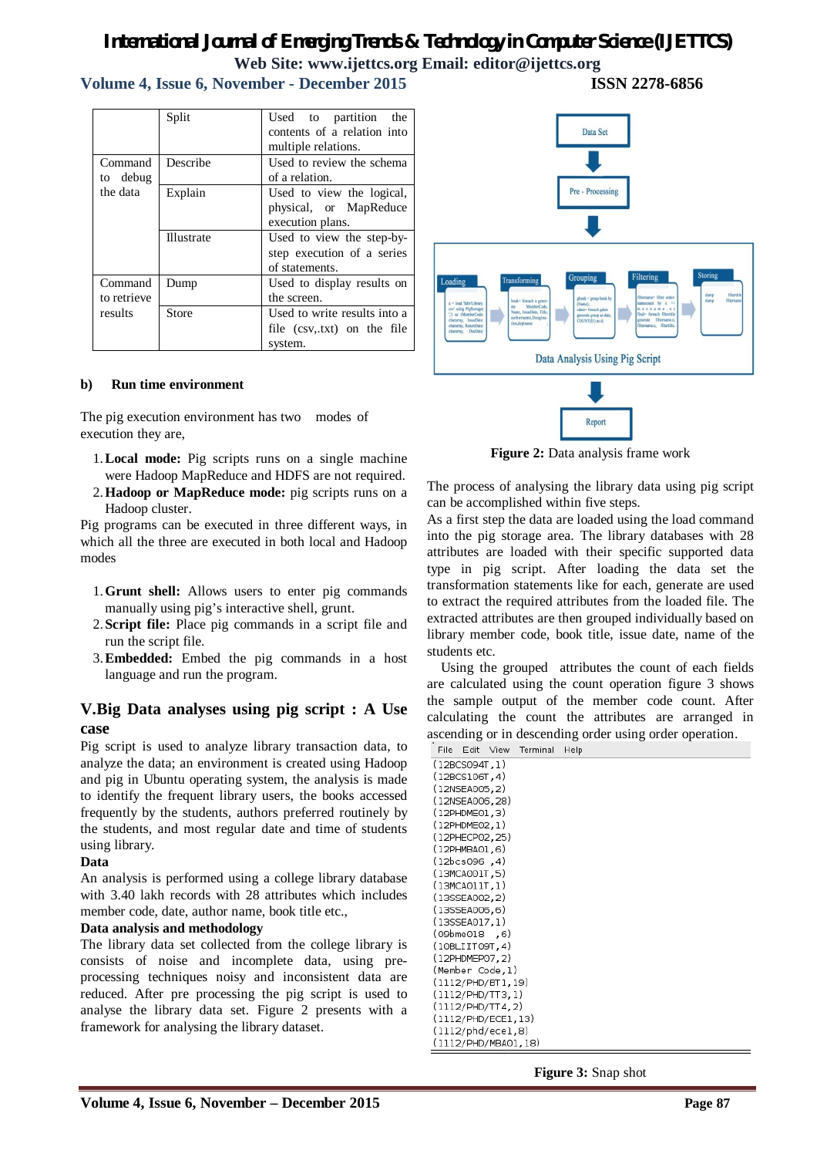# **Volume 4, Issue 6, November - December 2015 ISSN 2278-6856**

Split Used to partition the contents of a relation into multiple relations. Command to debug the data Describe Used to review the schema of a relation. Explain Used to view the logical, physical, or MapReduce execution plans. Illustrate Used to view the step-bystep execution of a series of statements. Command to retrieve results Dump **Used** to display results on the screen. Store Used to write results into a file (csv,.txt) on the file system.



The pig execution environment has two modes of execution they are,

- 1.**Local mode:** Pig scripts runs on a single machine were Hadoop MapReduce and HDFS are not required.
- 2.**Hadoop or MapReduce mode:** pig scripts runs on a Hadoop cluster.

Pig programs can be executed in three different ways, in which all the three are executed in both local and Hadoop modes

- 1.**Grunt shell:** Allows users to enter pig commands manually using pig's interactive shell, grunt.
- 2.**Script file:** Place pig commands in a script file and run the script file.
- 3.**Embedded:** Embed the pig commands in a host language and run the program.

# **V.Big Data analyses using pig script : A Use case**

Pig script is used to analyze library transaction data, to analyze the data; an environment is created using Hadoop and pig in Ubuntu operating system, the analysis is made to identify the frequent library users, the books accessed frequently by the students, authors preferred routinely by the students, and most regular date and time of students using library.

#### **Data**

An analysis is performed using a college library database with 3.40 lakh records with 28 attributes which includes member code, date, author name, book title etc.,

#### **Data analysis and methodology**

The library data set collected from the college library is consists of noise and incomplete data, using preprocessing techniques noisy and inconsistent data are reduced. After pre processing the pig script is used to analyse the library data set. Figure 2 presents with a framework for analysing the library dataset.



**Figure 2:** Data analysis frame work

The process of analysing the library data using pig script can be accomplished within five steps.

As a first step the data are loaded using the load command into the pig storage area. The library databases with 28 attributes are loaded with their specific supported data type in pig script. After loading the data set the transformation statements like for each, generate are used to extract the required attributes from the loaded file. The extracted attributes are then grouped individually based on library member code, book title, issue date, name of the students etc.

Using the grouped attributes the count of each fields are calculated using the count operation figure 3 shows the sample output of the member code count. After calculating the count the attributes are arranged in ascending or in descending order using order operation.

| <b>File</b> | E GIT.          | view                        | Terminal | Help |
|-------------|-----------------|-----------------------------|----------|------|
|             | (12BCSO94T, 1)  |                             |          |      |
|             | (12BCS106T, 4)  |                             |          |      |
|             | (12NSEA005,2)   |                             |          |      |
|             | (12NSEA006,28)  |                             |          |      |
|             | (12PHDME01,3)   |                             |          |      |
|             | (12PHDME02,1)   |                             |          |      |
|             | (12PHECP02, 25) |                             |          |      |
|             | (12PHMBA01,6)   |                             |          |      |
|             | (12bcs096,4)    |                             |          |      |
|             | (13MCA001T.5)   |                             |          |      |
|             | (13MCA011T,1)   |                             |          |      |
|             | (13SSEA002.2)   |                             |          |      |
|             | (13SSEA006.6)   |                             |          |      |
|             | (13SSEA017,1)   |                             |          |      |
|             | (09bme018,6)    |                             |          |      |
|             | (10BLIIT09T,4)  |                             |          |      |
|             | (12PHDMEPO7, 2) |                             |          |      |
|             |                 | (Member Code,1)             |          |      |
|             |                 | (1112/PHD/BTI, 19)          |          |      |
|             |                 | (1112/PHD/TT3,1)            |          |      |
|             |                 | (1112/PHD/TT4,2)            |          |      |
|             |                 | (1112/PHD/ECE1,13)          |          |      |
|             |                 | $(1112/\text{phd/ecel}, 8)$ |          |      |
|             |                 | (1112/PHD/MBA01,18)         |          |      |

**Figure 3:** Snap shot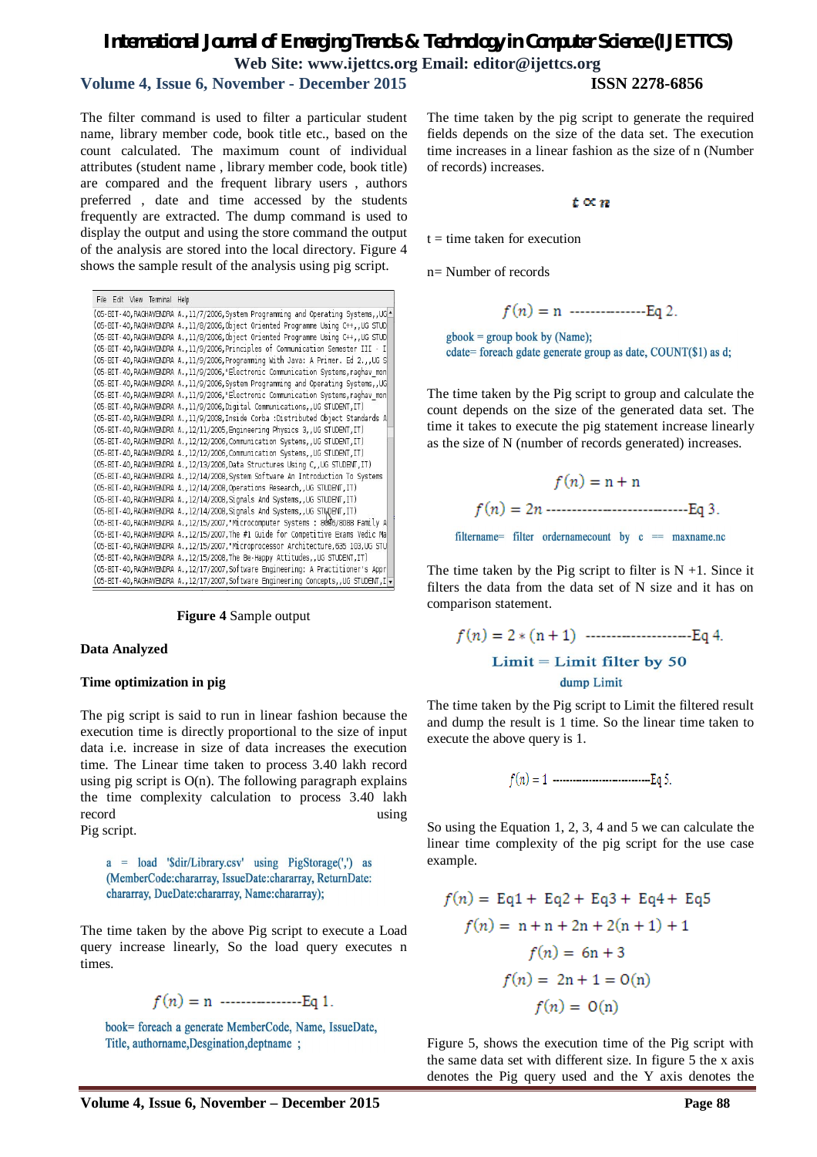# **Volume 4, Issue 6, November - December 2015 ISSN 2278-6856**

The filter command is used to filter a particular student name, library member code, book title etc., based on the count calculated. The maximum count of individual attributes (student name , library member code, book title) are compared and the frequent library users , authors preferred , date and time accessed by the students frequently are extracted. The dump command is used to display the output and using the store command the output of the analysis are stored into the local directory. Figure 4 shows the sample result of the analysis using pig script.

|  |  | File Edit View Terminal Help |                                                                                        |
|--|--|------------------------------|----------------------------------------------------------------------------------------|
|  |  |                              | (05-BIT-40, RAGHAVENDRA A., 11/7/2006, System Programming and Operating Systems, , UGA |
|  |  |                              | (05-BIT-40, RAGHAVENDRA A., 11/8/2006, Object Oriented Programme Using C++, , UG STUD  |
|  |  |                              | (05-BIT-40, RAGHAVENDRA A., 11/8/2006, Object Oriented Programme Using C++, UG STUD    |
|  |  |                              | (05-BIT-40, RAGHAVENDRA A., 11/9/2006, Principles of Communication Semester III - I    |
|  |  |                              | (05-BIT-40, RAGHAVENDRA A., 11/9/2006, Programming With Java: A Primer. Ed 2., UG S    |
|  |  |                              | (05-BIT-40, RAGHAVENDRA A., 11/9/2006, "Electronic Communication Systems, raghav mon   |
|  |  |                              | (05-BIT-40, RAGHAVENDRA A., 11/9/2006, System Programming and Operating Systems, , UG  |
|  |  |                              | (05-BIT-40, RAGHAVENDRA A., 11/9/2006, "Electronic Communication Systems, raghav mon   |
|  |  |                              | (05-BIT-40, RAGHAVENDRA A., 11/9/2006, Digital Communications, UG STUDENT, IT)         |
|  |  |                              | (05-BIT-40, RAGHAVENDRA A., 11/9/2008, Inside Corba : Distributed Object Standards A   |
|  |  |                              | (05-BIT-40, RAGHAVENDRA A., 12/11/2005, Engineering Physics 3, UG STUDENT, IT)         |
|  |  |                              | (05-BIT-40, RAGHAVENDRA A., 12/12/2006, Communication Systems, , UG STUDENT, IT)       |
|  |  |                              | (05-BIT-40, RAGHAVENDRA A., 12/12/2006, Communication Systems, UG STUDENT, IT)         |
|  |  |                              | (05-BIT-40, RAGHAVENDRA A., 12/13/2006, Data Structures Using C, , UG STUDENT, IT)     |
|  |  |                              | (05-BIT-40, RAGHAVENDRA A., 12/14/2008, System Software An Introduction To Systems     |
|  |  |                              | (05-BIT-40, RAGHAVENDRA A., 12/14/2008, Operations Research, , UG STUDENT, IT)         |
|  |  |                              | (05-BIT-40, RAGHAVENDRA A., 12/14/2008, Signals And Systems, UG STUDENT, IT)           |
|  |  |                              | (05-BIT-40, RAGHAVENDRA A., 12/14/2008, Signals And Systems, UG STUDENT, IT)           |
|  |  |                              | (05-BIT-40,RAGHAVENDRA A.,12/15/2007,"Microcomputer Systems : 8006/8088 Family A       |
|  |  |                              | (05-BIT-40, RAGHAVENDRA A., 12/15/2007, The #1 Guide for Competitive Exams Vedic Ma    |
|  |  |                              | (05-BIT-40, RAGHAVENDRA A., 12/15/2007, "Microprocessor Architecture, 635 103, UG STU  |
|  |  |                              | (05-BIT-40, RAGHAVENDRA A., 12/15/2008, The Be-Happy Attitudes, , UG STUDENT, IT)      |
|  |  |                              | (05-BIT-40, RAGHAVENDRA A., 12/17/2007, Software Engineering: A Practitioner's Appr    |
|  |  |                              | (05-BIT-40, RAGHAVENDRA A., 12/17/2007, Software Engineering Concepts, , UG STUDENT, I |

**Figure 4** Sample output

#### **Data Analyzed**

#### **Time optimization in pig**

The pig script is said to run in linear fashion because the execution time is directly proportional to the size of input data i.e. increase in size of data increases the execution time. The Linear time taken to process 3.40 lakh record using pig script is  $O(n)$ . The following paragraph explains the time complexity calculation to process 3.40 lakh record using using

Pig script.

a = load '\$dir/Library.csv' using PigStorage(',') as (MemberCode:chararray, IssueDate:chararray, ReturnDate: chararray, DueDate:chararray, Name:chararray);

The time taken by the above Pig script to execute a Load query increase linearly, So the load query executes n times.

$$
f(n) = n
$$
 \n $\dots$  \nEq 1.

book= foreach a generate MemberCode, Name, IssueDate, Title, authorname, Desgination, deptname;

The time taken by the pig script to generate the required fields depends on the size of the data set. The execution time increases in a linear fashion as the size of n (Number of records) increases.

#### $t \propto n$

 $t =$  time taken for execution

n= Number of records

$$
f(n) = n
$$
 \n $\text{Eq } 2.$ 

 $\text{gbook} = \text{group book by (Name)};$ cdate= foreach gdate generate group as date, COUNT(\$1) as d;

The time taken by the Pig script to group and calculate the count depends on the size of the generated data set. The time it takes to execute the pig statement increase linearly as the size of N (number of records generated) increases.

$$
f(n) = n + n
$$
  

$$
f(n) = 2n
$$
.................Eq 3.  
filtername= filter ordernamecount by c = maxname.no

The time taken by the Pig script to filter is  $N + 1$ . Since it filters the data from the data set of N size and it has on comparison statement.

The time taken by the Pig script to Limit the filtered result and dump the result is 1 time. So the linear time taken to execute the above query is 1.

$$
f(n) = 1 \cdots \cdots \cdots \cdots \cdots \cdots \cdots Eq 5.
$$

So using the Equation 1, 2, 3, 4 and 5 we can calculate the linear time complexity of the pig script for the use case example.

$$
f(n) = Eq1 + Eq2 + Eq3 + Eq4 + Eq5
$$

$$
f(n) = n + n + 2n + 2(n + 1) + 1
$$

$$
f(n) = 6n + 3
$$

$$
f(n) = 2n + 1 = O(n)
$$

$$
f(n) = O(n)
$$

Figure 5, shows the execution time of the Pig script with the same data set with different size. In figure 5 the x axis denotes the Pig query used and the Y axis denotes the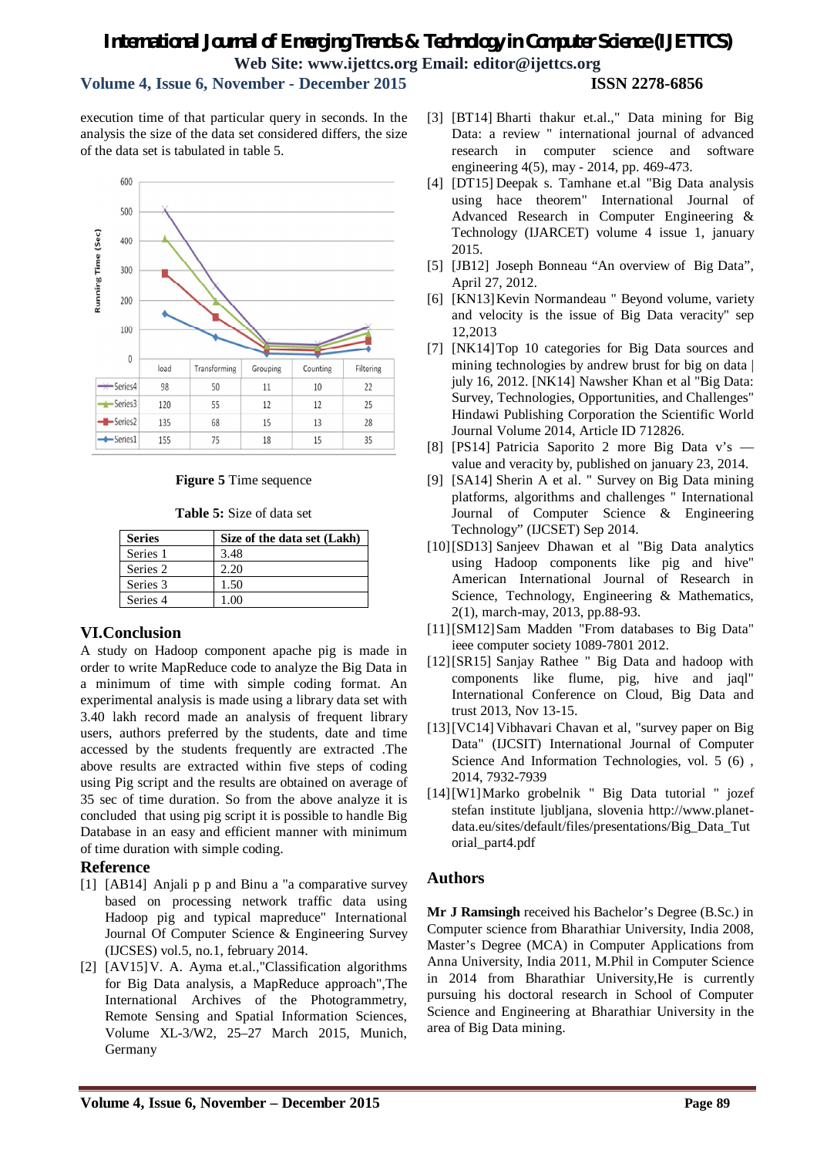# **Volume 4, Issue 6, November - December 2015 ISSN 2278-6856**

execution time of that particular query in seconds. In the analysis the size of the data set considered differs, the size of the data set is tabulated in table 5.



#### **Figure 5** Time sequence

**Table 5:** Size of data set

| <b>Series</b> | Size of the data set (Lakh) |
|---------------|-----------------------------|
| Series 1      | 3.48                        |
| Series 2      | 2.20                        |
| Series 3      | 1.50                        |
| Series 4      | 1.00                        |

#### **VI.Conclusion**

A study on Hadoop component apache pig is made in order to write MapReduce code to analyze the Big Data in a minimum of time with simple coding format. An experimental analysis is made using a library data set with 3.40 lakh record made an analysis of frequent library users, authors preferred by the students, date and time accessed by the students frequently are extracted .The above results are extracted within five steps of coding using Pig script and the results are obtained on average of 35 sec of time duration. So from the above analyze it is concluded that using pig script it is possible to handle Big Database in an easy and efficient manner with minimum of time duration with simple coding.

#### **Reference**

- [1] [AB14] Anjali p p and Binu a "a comparative survey based on processing network traffic data using Hadoop pig and typical mapreduce" International Journal Of Computer Science & Engineering Survey (IJCSES) vol.5, no.1, february 2014.
- [2] [AV15]V. A. Ayma et.al.,"Classification algorithms for Big Data analysis, a MapReduce approach",The International Archives of the Photogrammetry, Remote Sensing and Spatial Information Sciences, Volume XL-3/W2, 25–27 March 2015, Munich, Germany
- [3] [BT14] Bharti thakur et.al.," Data mining for Big Data: a review " international journal of advanced research in computer science and software engineering 4(5), may - 2014, pp. 469-473.
- [4] [DT15] Deepak s. Tamhane et.al "Big Data analysis using hace theorem" International Journal of Advanced Research in Computer Engineering & Technology (IJARCET) volume 4 issue 1, january 2015.
- [5] [JB12] Joseph Bonneau "An overview of Big Data", April 27, 2012.
- [6] [KN13] Kevin Normandeau " Beyond volume, variety and velocity is the issue of Big Data veracity" sep 12,2013
- [7] [NK14]Top 10 categories for Big Data sources and mining technologies by andrew brust for big on data | july 16, 2012. [NK14] Nawsher Khan et al "Big Data: Survey, Technologies, Opportunities, and Challenges" Hindawi Publishing Corporation the Scientific World Journal Volume 2014, Article ID 712826.
- [8] [PS14] Patricia Saporito 2 more Big Data v's value and veracity by, published on january 23, 2014.
- [9] [SA14] Sherin A et al. " Survey on Big Data mining platforms, algorithms and challenges " International Journal of Computer Science & Engineering Technology" (IJCSET) Sep 2014.
- [10][SD13] Sanjeev Dhawan et al "Big Data analytics using Hadoop components like pig and hive" American International Journal of Research in Science, Technology, Engineering & Mathematics, 2(1), march-may, 2013, pp.88-93.
- [11][SM12]Sam Madden "From databases to Big Data" ieee computer society 1089-7801 2012.
- [12][SR15] Sanjay Rathee " Big Data and hadoop with components like flume, pig, hive and jaql" International Conference on Cloud, Big Data and trust 2013, Nov 13-15.
- [13][VC14] Vibhavari Chavan et al, "survey paper on Big Data" (IJCSIT) International Journal of Computer Science And Information Technologies, vol. 5 (6), 2014, 7932-7939
- [14][W1]Marko grobelnik " Big Data tutorial " jozef stefan institute ljubljana, slovenia http://www.planetdata.eu/sites/default/files/presentations/Big\_Data\_Tut orial\_part4.pdf

#### **Authors**

**Mr J Ramsingh** received his Bachelor's Degree (B.Sc.) in Computer science from Bharathiar University, India 2008, Master's Degree (MCA) in Computer Applications from Anna University, India 2011, M.Phil in Computer Science in 2014 from Bharathiar University,He is currently pursuing his doctoral research in School of Computer Science and Engineering at Bharathiar University in the area of Big Data mining.